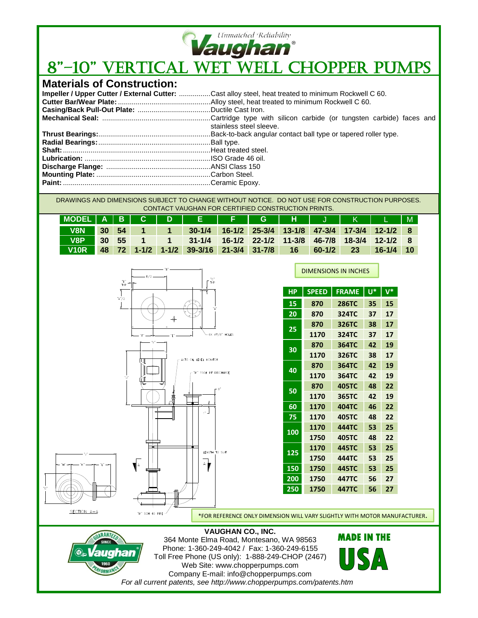

# **Vaughan**<br>8"-10" VERTICAL WET WELL CHOPPER PUMPS

## **Materials of Construction:**

| Impeller / Upper Cutter / External Cutter: Cast alloy steel, heat treated to minimum Rockwell C 60. |
|-----------------------------------------------------------------------------------------------------|
|                                                                                                     |
|                                                                                                     |
|                                                                                                     |
| stainless steel sleeve.                                                                             |
|                                                                                                     |
|                                                                                                     |
|                                                                                                     |
|                                                                                                     |
|                                                                                                     |
|                                                                                                     |
|                                                                                                     |

DRAWINGS AND DIMENSIONS SUBJECT TO CHANGE WITHOUT NOTICE. DO NOT USE FOR CONSTRUCTION PURPOSES. CONTACT VAUGHAN FOR CERTIFIED CONSTRUCTION PRINTS.

| MODEL A B C D E FFGHJ K L M |       |  |                                                      |  |           |          |    |             |  |
|-----------------------------|-------|--|------------------------------------------------------|--|-----------|----------|----|-------------|--|
| V8N 30 54                   |       |  | 30-1/4 16-1/2 25-3/4 13-1/8 47-3/4 17-3/4 12-1/2 8   |  |           |          |    |             |  |
| <b>N</b> <sub>R</sub>       | 30 55 |  | 1 1 31-1/4 16-1/2 22-1/2 11-3/8 46-7/8 18-3/4 12-1/2 |  |           |          |    |             |  |
| V10R                        |       |  | $\vert$ 48 72 1-1/2 1-1/2 39-3/16 21-3/4 31-7/8      |  | <b>16</b> | $60-1/2$ | 23 | $16-1/4$ 10 |  |



RANT

ORMAN

ughan

| НP  | <b>SPEED</b> | <b>FRAME</b> | Ū* | $\overline{\mathsf{V}^*}$ |
|-----|--------------|--------------|----|---------------------------|
| 15  | 870          | <b>286TC</b> | 35 | 15                        |
| 20  | 870          | 324TC        | 37 | 17                        |
| 25  | 870          | 326TC        | 38 | 17                        |
|     | 1170         | 324TC        | 37 | 17                        |
| 30  | 870          | 364TC        | 42 | 19                        |
|     | 1170         | 326TC        | 38 | 17                        |
| 40  | 870          | 364TC        | 42 | 19                        |
|     | 1170         | 364TC        | 42 | 19                        |
| 50  | 870          | 405TC        | 48 | 22                        |
|     | 1170         | 365TC        | 42 | 19                        |
| 60  | 1170         | <b>404TC</b> | 46 | 22                        |
| 75  | 1170         | <b>405TC</b> | 48 | 22                        |
| 100 | 1170         | <b>444TC</b> | 53 | 25                        |
|     | 1750         | <b>405TC</b> | 48 | 22                        |
| 125 | 1170         | 445TC        | 53 | 25                        |
|     | 1750         | 444TC        | 53 | 25                        |
| 150 | 1750         | 445TC        | 53 | 25                        |
| 200 | 1750         | 447TC        | 56 | 27                        |
| 250 | 1750         | 447TC        | 56 | 27                        |

\*FOR REFERENCE ONLY DIMENSION WILL VARY SLIGHTLY WITH MOTOR MANUFACTURER.

#### **VAUGHAN CO., INC.**

364 Monte Elma Road, Montesano, WA 98563 Phone: 1-360-249-4042 / Fax: 1-360-249-6155 Toll Free Phone (US only): 1-888-249-CHOP (2467) Web Site: www.chopperpumps.com Company E-mail: info@chopperpumps.com *For all current patents, see http://www.chopperpumps.com/patents.htm*